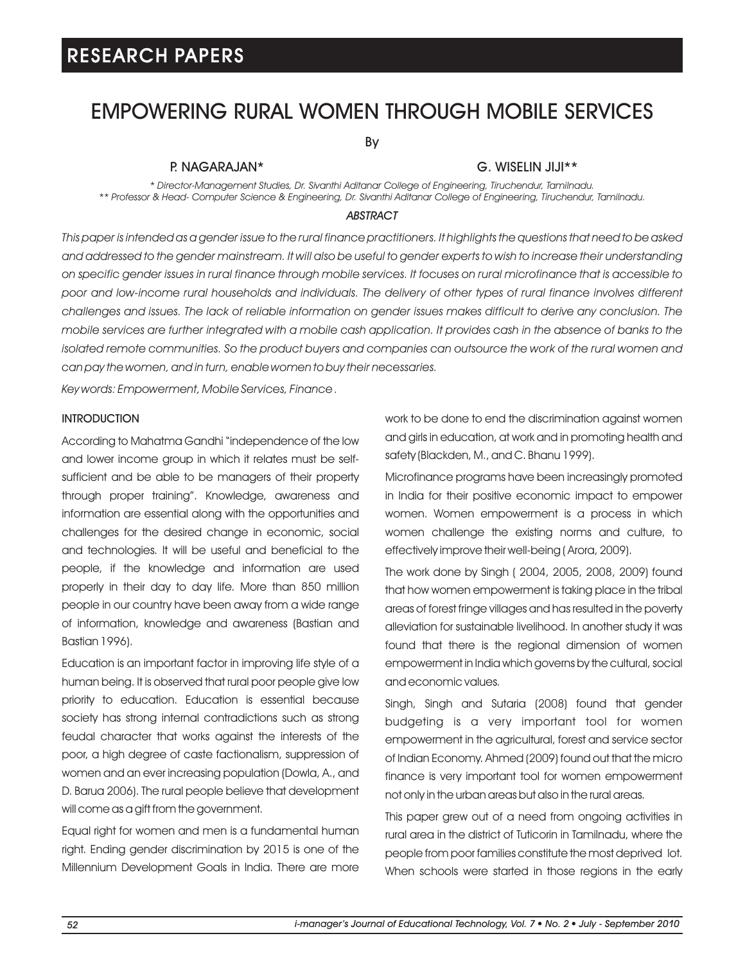## EMPOWERING RURAL WOMEN THROUGH MOBILE SERVICES

By

### P. NAGARAJAN\*

### G. WISELIN JIJI\*\*

*\* Director-Management Studies, Dr. Sivanthi Aditanar College of Engineering, Tiruchendur, Tamilnadu. \*\* Professor & Head- Computer Science & Engineering, Dr. Sivanthi Aditanar College of Engineering, Tiruchendur, Tamilnadu.*

#### *ABSTRACT*

*This paper is intended as a gender issue to the rural finance practitioners. It highlights the questions that need to be asked and addressed to the gender mainstream. It will also be useful to gender experts to wish to increase their understanding on specific gender issues in rural finance through mobile services. It focuses on rural microfinance that is accessible to poor and low-income rural households and individuals. The delivery of other types of rural finance involves different challenges and issues. The lack of reliable information on gender issues makes difficult to derive any conclusion. The mobile services are further integrated with a mobile cash application. It provides cash in the absence of banks to the isolated remote communities. So the product buyers and companies can outsource the work of the rural women and can pay the women, and in turn, enable women to buy their necessaries.*

*Key words: Empowerment, Mobile Services, Finance .*

### **INTRODUCTION**

According to Mahatma Gandhi "independence of the low and lower income group in which it relates must be selfsufficient and be able to be managers of their property through proper training". Knowledge, awareness and information are essential along with the opportunities and challenges for the desired change in economic, social and technologies. It will be useful and beneficial to the people, if the knowledge and information are used properly in their day to day life. More than 850 million people in our country have been away from a wide range of information, knowledge and awareness (Bastian and Bastian 1996).

Education is an important factor in improving life style of a human being. It is observed that rural poor people give low priority to education. Education is essential because society has strong internal contradictions such as strong feudal character that works against the interests of the poor, a high degree of caste factionalism, suppression of women and an ever increasing population (Dowla, A., and D. Barua 2006). The rural people believe that development will come as a gift from the government.

Equal right for women and men is a fundamental human right. Ending gender discrimination by 2015 is one of the Millennium Development Goals in India. There are more work to be done to end the discrimination against women and girls in education, at work and in promoting health and safety (Blackden, M., and C. Bhanu 1999).

Microfinance programs have been increasingly promoted in India for their positive economic impact to empower women. Women empowerment is a process in which women challenge the existing norms and culture, to effectively improve their well-being ( Arora, 2009).

The work done by Singh ( 2004, 2005, 2008, 2009) found that how women empowerment is taking place in the tribal areas of forest fringe villages and has resulted in the poverty alleviation for sustainable livelihood. In another study it was found that there is the regional dimension of women empowerment in India which governs by the cultural, social and economic values.

Singh, Singh and Sutaria (2008) found that gender budgeting is a very important tool for women empowerment in the agricultural, forest and service sector of Indian Economy. Ahmed (2009) found out that the micro finance is very important tool for women empowerment not only in the urban areas but also in the rural areas.

This paper grew out of a need from ongoing activities in rural area in the district of Tuticorin in Tamilnadu, where the people from poor families constitute the most deprived lot. When schools were started in those regions in the early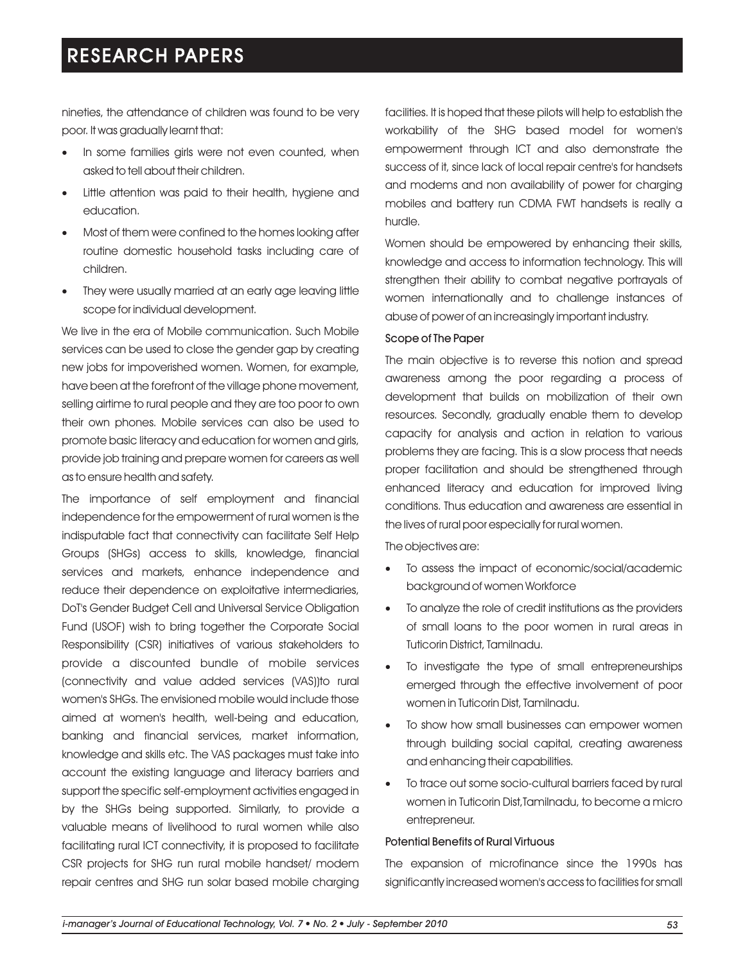nineties, the attendance of children was found to be very poor. It was gradually learnt that:

- In some families girls were not even counted, when asked to tell about their children.
- Little attention was paid to their health, hygiene and education.
- Most of them were confined to the homes looking after · routine domestic household tasks including care of children.
- They were usually married at an early age leaving little · scope for individual development.

We live in the era of Mobile communication. Such Mobile services can be used to close the gender gap by creating new jobs for impoverished women. Women, for example, have been at the forefront of the village phone movement, selling airtime to rural people and they are too poor to own their own phones. Mobile services can also be used to promote basic literacy and education for women and girls, provide job training and prepare women for careers as well as to ensure health and safety.

The importance of self employment and financial independence for the empowerment of rural women is the indisputable fact that connectivity can facilitate Self Help Groups (SHGs) access to skills, knowledge, financial services and markets, enhance independence and reduce their dependence on exploitative intermediaries, DoT's Gender Budget Cell and Universal Service Obligation Fund (USOF) wish to bring together the Corporate Social Responsibility (CSR) initiatives of various stakeholders to provide a discounted bundle of mobile services (connectivity and value added services (VAS))to rural women's SHGs. The envisioned mobile would include those aimed at women's health, well-being and education, banking and financial services, market information, knowledge and skills etc. The VAS packages must take into account the existing language and literacy barriers and support the specific self-employment activities engaged in by the SHGs being supported. Similarly, to provide a valuable means of livelihood to rural women while also facilitating rural ICT connectivity, it is proposed to facilitate CSR projects for SHG run rural mobile handset/ modem repair centres and SHG run solar based mobile charging

facilities. It is hoped that these pilots will help to establish the workability of the SHG based model for women's empowerment through ICT and also demonstrate the success of it, since lack of local repair centre's for handsets and modems and non availability of power for charging mobiles and battery run CDMA FWT handsets is really a hurdle.

Women should be empowered by enhancing their skills, knowledge and access to information technology. This will strengthen their ability to combat negative portrayals of women internationally and to challenge instances of abuse of power of an increasingly important industry.

### Scope of The Paper

The main objective is to reverse this notion and spread awareness among the poor regarding a process of development that builds on mobilization of their own resources. Secondly, gradually enable them to develop capacity for analysis and action in relation to various problems they are facing. This is a slow process that needs proper facilitation and should be strengthened through enhanced literacy and education for improved living conditions. Thus education and awareness are essential in the lives of rural poor especially for rural women.

The objectives are:

- To assess the impact of economic/social/academic · background of women Workforce
- To analyze the role of credit institutions as the providers · of small loans to the poor women in rural areas in Tuticorin District, Tamilnadu.
- To investigate the type of small entrepreneurships · emerged through the effective involvement of poor women in Tuticorin Dist, Tamilnadu.
- To show how small businesses can empower women · through building social capital, creating awareness and enhancing their capabilities.
- To trace out some socio-cultural barriers faced by rural · women in Tuticorin Dist, Tamilnadu, to become a micro entrepreneur.

### Potential Benefits of Rural Virtuous

The expansion of microfinance since the 1990s has significantly increased women's access to facilities for small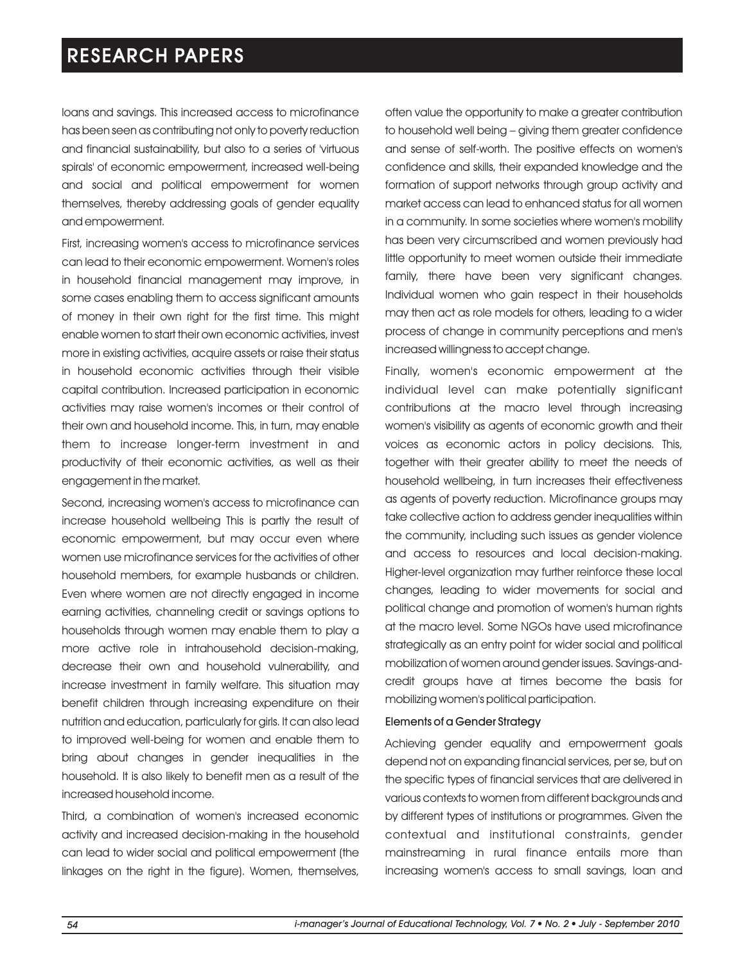loans and savings. This increased access to microfinance has been seen as contributing not only to poverty reduction and financial sustainability, but also to a series of 'virtuous spirals' of economic empowerment, increased well-being and social and political empowerment for women themselves, thereby addressing goals of gender equality and empowerment.

First, increasing women's access to microfinance services can lead to their economic empowerment. Women's roles in household financial management may improve, in some cases enabling them to access significant amounts of money in their own right for the first time. This might enable women to start their own economic activities, invest more in existing activities, acquire assets or raise their status in household economic activities through their visible capital contribution. Increased participation in economic activities may raise women's incomes or their control of their own and household income. This, in turn, may enable them to increase longer-term investment in and productivity of their economic activities, as well as their engagement in the market.

Second, increasing women's access to microfinance can increase household wellbeing This is partly the result of economic empowerment, but may occur even where women use microfinance services for the activities of other household members, for example husbands or children. Even where women are not directly engaged in income earning activities, channeling credit or savings options to households through women may enable them to play a more active role in intrahousehold decision-making, decrease their own and household vulnerability, and increase investment in family welfare. This situation may benefit children through increasing expenditure on their nutrition and education, particularly for girls. It can also lead to improved well-being for women and enable them to bring about changes in gender inequalities in the household. It is also likely to benefit men as a result of the increased household income.

Third, a combination of women's increased economic activity and increased decision-making in the household can lead to wider social and political empowerment (the linkages on the right in the figure). Women, themselves,

often value the opportunity to make a greater contribution to household well being – giving them greater confidence and sense of self-worth. The positive effects on women's confidence and skills, their expanded knowledge and the formation of support networks through group activity and market access can lead to enhanced status for all women in a community. In some societies where women's mobility has been very circumscribed and women previously had little opportunity to meet women outside their immediate family, there have been very significant changes. Individual women who gain respect in their households may then act as role models for others, leading to a wider process of change in community perceptions and men's increased willingness to accept change.

Finally, women's economic empowerment at the individual level can make potentially significant contributions at the macro level through increasing women's visibility as agents of economic growth and their voices as economic actors in policy decisions. This, together with their greater ability to meet the needs of household wellbeing, in turn increases their effectiveness as agents of poverty reduction. Microfinance groups may take collective action to address gender inequalities within the community, including such issues as gender violence and access to resources and local decision-making. Higher-level organization may further reinforce these local changes, leading to wider movements for social and political change and promotion of women's human rights at the macro level. Some NGOs have used microfinance strategically as an entry point for wider social and political mobilization of women around gender issues. Savings-andcredit groups have at times become the basis for mobilizing women's political participation.

#### Elements of a Gender Strategy

Achieving gender equality and empowerment goals depend not on expanding financial services, per se, but on the specific types of financial services that are delivered in various contexts to women from different backgrounds and by different types of institutions or programmes. Given the contextual and institutional constraints, gender mainstreaming in rural finance entails more than increasing women's access to small savings, loan and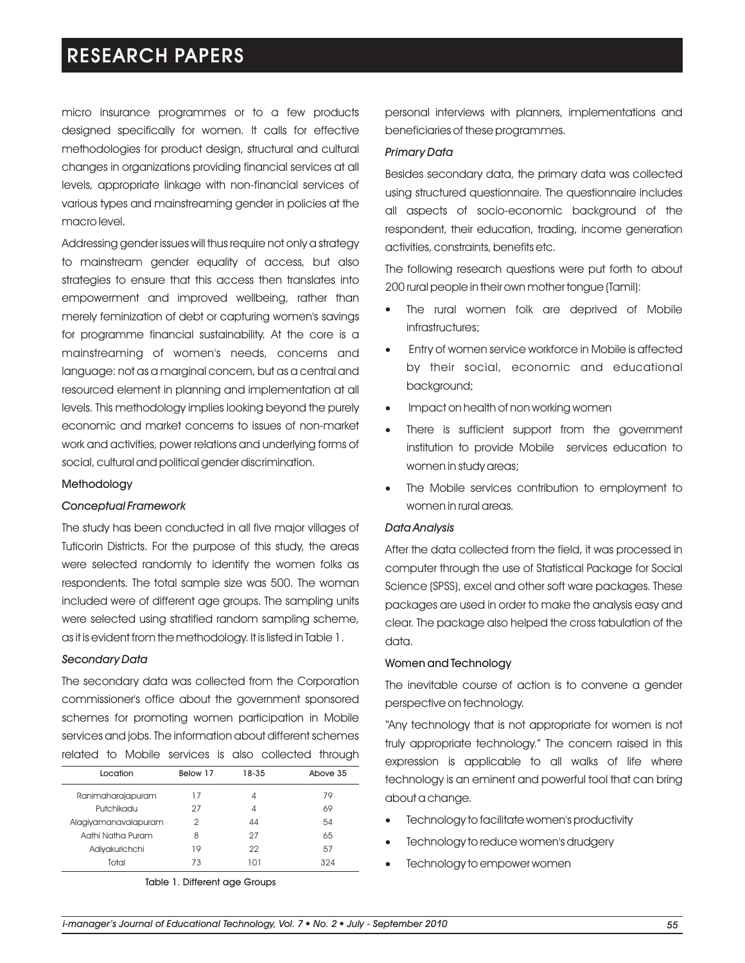micro insurance programmes or to a few products designed specifically for women. It calls for effective methodologies for product design, structural and cultural changes in organizations providing financial services at all levels, appropriate linkage with non-financial services of various types and mainstreaming gender in policies at the macro level.

Addressing gender issues will thus require not only a strategy to mainstream gender equality of access, but also strategies to ensure that this access then translates into empowerment and improved wellbeing, rather than merely feminization of debt or capturing women's savings for programme financial sustainability. At the core is a mainstreaming of women's needs, concerns and language: not as a marginal concern, but as a central and resourced element in planning and implementation at all levels. This methodology implies looking beyond the purely economic and market concerns to issues of non-market work and activities, power relations and underlying forms of social, cultural and political gender discrimination.

#### Methodology

#### *Conceptual Framework*

The study has been conducted in all five major villages of Tuticorin Districts. For the purpose of this study, the areas were selected randomly to identify the women folks as respondents. The total sample size was 500. The woman included were of different age groups. The sampling units were selected using stratified random sampling scheme, as it is evident from the methodology. It is listed in Table 1.

#### *Secondary Data*

The secondary data was collected from the Corporation commissioner's office about the government sponsored schemes for promoting women participation in Mobile services and jobs. The information about different schemes related to Mobile services is also collected through

| Below 17 | 18-35 | Above 35 |
|----------|-------|----------|
| 17       | 4     | 79       |
| 27       | 4     | 69       |
| 2        | 44    | 54       |
| 8        | 27    | 65       |
| 19       | 22    | 57       |
| 73       | וחו   | 324      |
|          |       |          |

Table 1. Different age Groups

personal interviews with planners, implementations and beneficiaries of these programmes.

#### *Primary Data*

Besides secondary data, the primary data was collected using structured questionnaire. The questionnaire includes all aspects of socio-economic background of the respondent, their education, trading, income generation activities, constraints, benefits etc.

The following research questions were put forth to about 200 rural people in their own mother tongue (Tamil):

- The rural women folk are deprived of Mobile infrastructures;
- Entry of women service workforce in Mobile is affected · by their social, economic and educational background;
- Impact on health of non working women
- Impact on health of non working women<br>• There is sufficient support from the government institution to provide Mobile services education to women in study areas;
- The Mobile services contribution to employment to women in rural areas.

#### *Data Analysis*

After the data collected from the field, it was processed in computer through the use of Statistical Package for Social Science (SPSS), excel and other soft ware packages. These packages are used in order to make the analysis easy and clear. The package also helped the cross tabulation of the data.

#### Women and Technology

The inevitable course of action is to convene a gender perspective on technology.

"Any technology that is not appropriate for women is not truly appropriate technology." The concern raised in this expression is applicable to all walks of life where technology is an eminent and powerful tool that can bring about a change.

- Technology to facilitate women's productivity
- Technology to reduce women's drudgery • Te<br>• Te<br>• Te
- Technology to empower women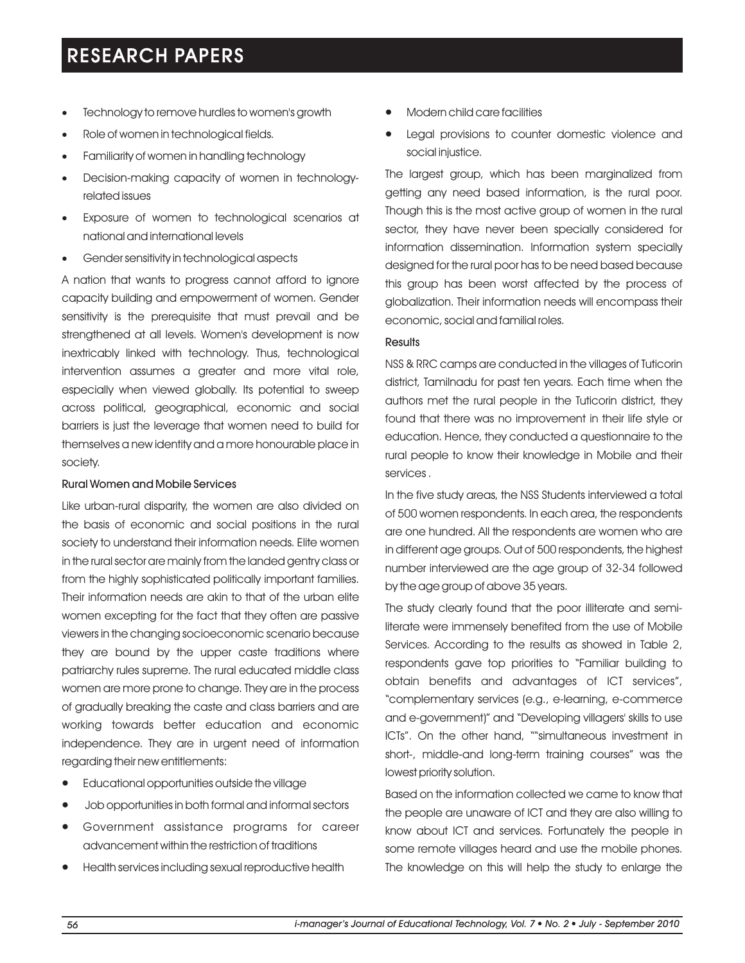- Technology to remove hurdles to women's growth
- Te<br>• Rc<br>• Fc<br>• De Role of women in technological fields.
- Familiarity of women in handling technology
- Decision-making capacity of women in technologyrelated issues
- · Exposure of women to technological scenarios at national and international levels
- · Gender sensitivity in technological aspects

A nation that wants to progress cannot afford to ignore capacity building and empowerment of women. Gender sensitivity is the prerequisite that must prevail and be strengthened at all levels. Women's development is now inextricably linked with technology. Thus, technological intervention assumes a greater and more vital role, especially when viewed globally. Its potential to sweep across political, geographical, economic and social barriers is just the leverage that women need to build for themselves a new identity and a more honourable place in society.

### Rural Women and Mobile Services

Like urban-rural disparity, the women are also divided on the basis of economic and social positions in the rural society to understand their information needs. Elite women in the rural sector are mainly from the landed gentry class or from the highly sophisticated politically important families. Their information needs are akin to that of the urban elite women excepting for the fact that they often are passive viewers in the changing socioeconomic scenario because they are bound by the upper caste traditions where patriarchy rules supreme. The rural educated middle class women are more prone to change. They are in the process of gradually breaking the caste and class barriers and are working towards better education and economic independence. They are in urgent need of information regarding their new entitlements:

- ·Educational opportunities outside the village
- ·Job opportunities in both formal and informal sectors
- ·Government assistance programs for career advancement within the restriction of traditions
- Health services including sexual reproductive health
- ·Modern child care facilities
- Legal provisions to counter domestic violence and social injustice.

The largest group, which has been marginalized from getting any need based information, is the rural poor. Though this is the most active group of women in the rural sector, they have never been specially considered for information dissemination. Information system specially designed for the rural poor has to be need based because this group has been worst affected by the process of globalization. Their information needs will encompass their economic, social and familial roles.

### **Results**

NSS & RRC camps are conducted in the villages of Tuticorin district, Tamilnadu for past ten years. Each time when the authors met the rural people in the Tuticorin district, they found that there was no improvement in their life style or education. Hence, they conducted a questionnaire to the rural people to know their knowledge in Mobile and their services .

In the five study areas, the NSS Students interviewed a total of 500 women respondents. In each area, the respondents are one hundred. All the respondents are women who are in different age groups. Out of 500 respondents, the highest number interviewed are the age group of 32-34 followed by the age group of above 35 years.

The study clearly found that the poor illiterate and semiliterate were immensely benefited from the use of Mobile Services. According to the results as showed in Table 2, respondents gave top priorities to "Familiar building to obtain benefits and advantages of ICT services", "complementary services (e.g., e-learning, e-commerce and e-government)" and "Developing villagers' skills to use ICTs". On the other hand, ""simultaneous investment in short-, middle-and long-term training courses" was the lowest priority solution.

Based on the information collected we came to know that the people are unaware of ICT and they are also willing to know about ICT and services. Fortunately the people in some remote villages heard and use the mobile phones. The knowledge on this will help the study to enlarge the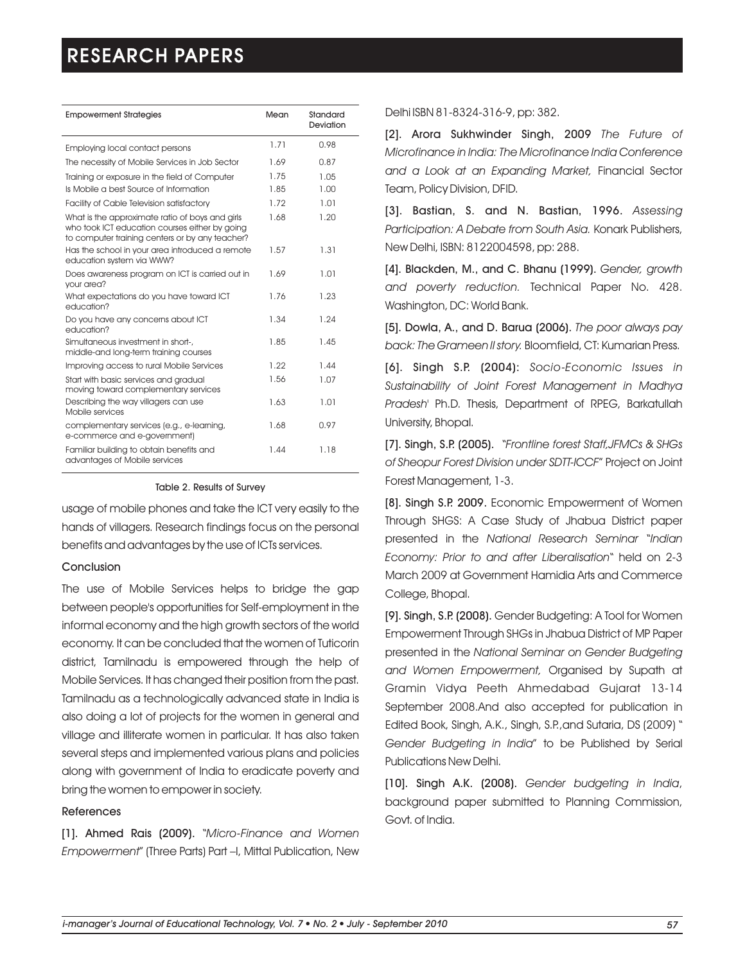| <b>Empowerment Strategies</b>                                                                                                                        | Mean         | Standard<br>Deviation |
|------------------------------------------------------------------------------------------------------------------------------------------------------|--------------|-----------------------|
| Employing local contact persons                                                                                                                      | 1.71         | 0.98                  |
| The necessity of Mobile Services in Job Sector                                                                                                       | 1.69         | 0.87                  |
| Training or exposure in the field of Computer<br>Is Mobile a best Source of Information                                                              | 1.75<br>1.85 | 1.05<br>1.00          |
| <b>Facility of Cable Television satisfactory</b>                                                                                                     | 1.72         | 1.01                  |
| What is the approximate ratio of boys and girls<br>who took ICT education courses either by going<br>to computer training centers or by any teacher? | 1.68         | 1.20                  |
| Has the school in your area introduced a remote<br>education system via WWW?                                                                         | 1.57         | 1.31                  |
| Does awareness program on ICT is carried out in<br>your area?                                                                                        | 1.69         | 1.01                  |
| What expectations do you have toward ICT<br>education?                                                                                               | 1.76         | 1.23                  |
| Do you have any concerns about ICT<br>education?                                                                                                     | 1.34         | 1.24                  |
| Simultaneous investment in short-,<br>middle-and long-term training courses                                                                          | 1.85         | 1.45                  |
| Improving access to rural Mobile Services                                                                                                            | 1.22         | 1.44                  |
| Start with basic services and gradual<br>moving toward complementary services                                                                        | 1.56         | 1.07                  |
| Describing the way villagers can use<br>Mobile services                                                                                              | 1.63         | 1.01                  |
| complementary services (e.g., e-learning,<br>e-commerce and e-government)                                                                            | 1.68         | 0.97                  |
| Familiar building to obtain benefits and<br>advantages of Mobile services                                                                            | 1.44         | 1.18                  |

#### Table 2. Results of Survey

usage of mobile phones and take the ICT very easily to the hands of villagers. Research findings focus on the personal benefits and advantages by the use of ICTs services.

#### Conclusion

The use of Mobile Services helps to bridge the gap between people's opportunities for Self-employment in the informal economy and the high growth sectors of the world economy. It can be concluded that the women of Tuticorin district, Tamilnadu is empowered through the help of Mobile Services. It has changed their position from the past. Tamilnadu as a technologically advanced state in India is also doing a lot of projects for the women in general and village and illiterate women in particular. It has also taken several steps and implemented various plans and policies along with government of India to eradicate poverty and bring the women to empower in society.

#### References

[1]. Ahmed Rais (2009). "*Micro-Finance and Women Empowerment*" (Three Parts) Part –I, Mittal Publication, New

Delhi ISBN 81-8324-316-9, pp: 382.

[2]. Arora Sukhwinder Singh, 2009 *The Future of Microfinance in India: The Microfinance India Conference and a Look at an Expanding Market,* Financial Sector Team, Policy Division, DFID.

[3]. Bastian, S. and N. Bastian, 1996. *Assessing Participation: A Debate from South Asia.* Konark Publishers, New Delhi, ISBN: 8122004598, pp: 288.

[4]. Blackden, M., and C. Bhanu (1999). *Gender, growth and poverty reduction.* Technical Paper No. 428. Washington, DC: World Bank.

[5]. Dowla, A., and D. Barua (2006). *The poor always pay back: The Grameen II story.* Bloomfield, CT: Kumarian Press.

[6]. Singh S.P. (2004): *Socio-Economic Issues in Sustainability of Joint Forest Management in Madhya Pradesh'* Ph.D. Thesis, Department of RPEG, Barkatullah University, Bhopal.

[7]. Singh, S.P. (2005). "*Frontline forest Staff,JFMCs & SHGs of Sheopur Forest Division under SDTT-ICCF*" Project on Joint Forest Management, 1-3.

[8]. Singh S.P. 2009. Economic Empowerment of Women Through SHGS: A Case Study of Jhabua District paper presented in the *National Research Seminar* "*Indian Economy: Prior to and after Liberalisation*" held on 2-3 March 2009 at Government Hamidia Arts and Commerce College, Bhopal.

[9]. Singh, S.P. (2008). Gender Budgeting: A Tool for Women Empowerment Through SHGs in Jhabua District of MP Paper presented in the *National Seminar on Gender Budgeting and Women Empowerment,* Organised by Supath at Gramin Vidya Peeth Ahmedabad Gujarat 13-14 September 2008.And also accepted for publication in Edited Book, Singh, A.K., Singh, S.P.,and Sutaria, DS (2009) " *Gender Budgeting in India*" to be Published by Serial Publications New Delhi.

[10]. Singh A.K. (2008). *Gender budgeting in India*, background paper submitted to Planning Commission, Govt. of India.